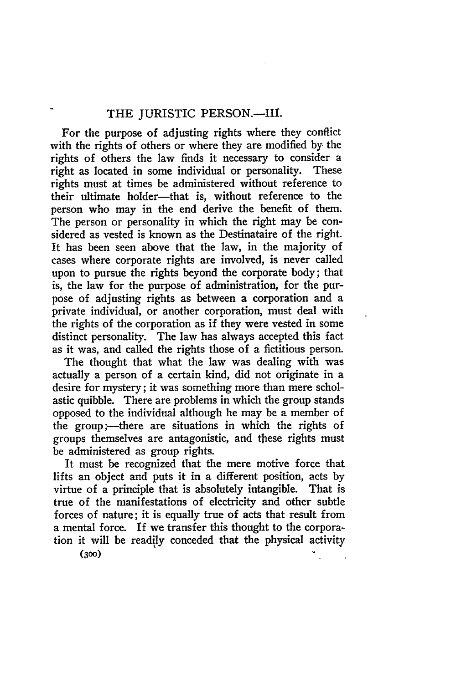For the purpose of adjusting rights where they conflict with the rights of others or where they are modified by the rights of others the law finds it necessary to consider a right as located in some individual or personality. These rights must at times be administered without reference to their ultimate holder—that is, without reference to the person who may in the end derive the benefit of them. The person or personality in which the right may be considered as vested is known as the Destinataire of the right. It has been seen above that the law, in the majority of cases where corporate rights are involved, is never called upon to pursue the rights beyond the corporate body; that is, the law for the purpose of administration, for the purpose of adjusting rights as between a corporation and a private individual, or another corporation, must deal with the rights of the corporation as if they were vested in some distinct personality. The law has always accepted this fact as it was, and called the rights those of a fictitious person.

The thought that what the law was dealing with was actually a person of a certain kind, did not originate in a desire for mystery; it was something more than mere scholastic quibble. There are problems in which the group stands opposed to the individual although he may be a member of the group;—there are situations in which the rights of groups themselves are antagonistic, and these rights must be administered as group rights.

It must be recognized that the mere motive force that lifts an object and puts it in a different position, acts by virtue of a principle that is absolutely intangible. That is true of the manifestations of electricity and other subtle forces of nature; it is equally true of acts that result from a mental force. If we transfer this thought to the corporation it will be readily conceded that the physical activity

**(300)**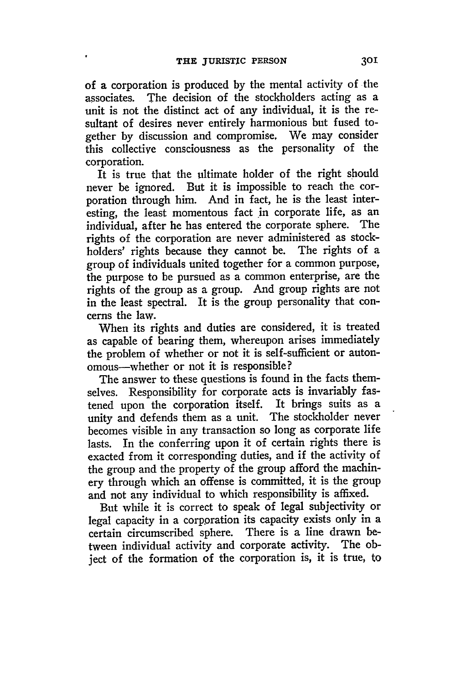of a corporation is produced **by** the mental activity of the associates. The decision of the stockholders acting as a unit is not the distinct act of any individual, it is the resultant of desires never entirely harmonious but fused together **by** discussion and compromise, We may consider this collective consciousness as the personality of the corporation.

It is true that the ultimate holder of the right should never be ignored. But it is impossible to reach the corporation through him. And in fact, he is the least interesting, the least momentous fact in corporate life, as an individual, after he has entered the corporate sphere. The rights of the corporation are never administered as stockholders' rights because they cannot be. The rights of a group of individuals united together for a common purpose, the purpose to be pursued as a common enterprise, are the rights of the group as a group. And group rights are not in the least spectral. It is the group personality that concerns the law.

When its rights and duties are considered, it is treated as capable of bearing them, whereupon arises immediately the problem of whether or not it is self-sufficient or autonomous-whether or not it is responsible?

The answer to these questions is found in the facts themselves. Responsibility for corporate acts is invariably fastened upon the corporation itself. It brings suits as a unity and defends them as a unit. The stockholder never becomes visible in any transaction so long as corporate life lasts. In the conferring upon it of certain rights there is exacted from it corresponding duties, and if the activity of the group and the property of the group afford the machinery through which an offense is committed, it is the group and not any individual to which responsibility is affixed.

But while it is correct to speak of legal subjectivity or legal capacity in a corporation its capacity exists only in a certain circumscribed sphere. There is a line drawn between individual activity and corporate activity. The object of the formation of the corporation is, it is true, to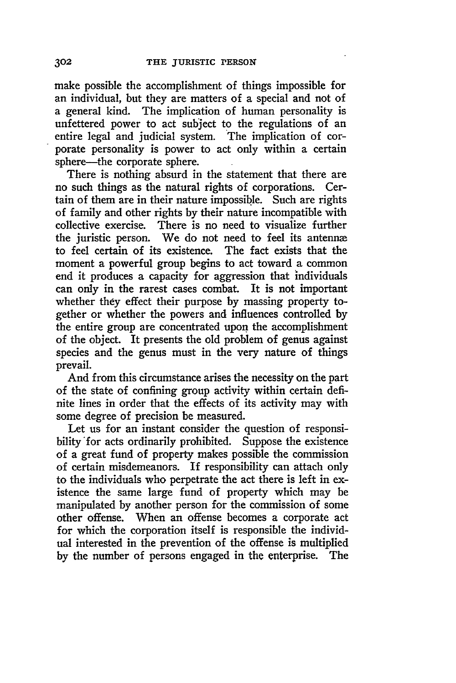make possible the accomplishment of things impossible for an individual, but they are matters of a special and not of a general kind. The implication of human personality is unfettered power to act subject to the regulations of an entire legal and judicial system. The implication of corporate personality is power to act only within a certain sphere--the corporate sphere.

There is nothing absurd in the statement that there are no such things as the natural rights of corporations. Certain of them are in their nature impossible. Such are rights of family and other rights **by** their nature incompatible with collective exercise. There is no need to visualize further the juristic person. We do not need to feel its antenna to feel certain of its existence. The fact exists that the moment a powerful group begins to act toward a common end it produces a capacity for aggression that individuals can only in the rarest cases combat. It is not important whether they effect their purpose **by** massing property together or whether the powers and influences controlled **by** the entire group are concentrated upon the accomplishment of the object. It presents the old problem of genus against species and the genus must in the very nature of things prevail.

And from this circumstance arises the necessity on the part of the state of confining group activity within certain definite lines in order that the effects of its activity may with some degree of precision be measured.

Let us for an instant consider the question of responsibility for acts ordinarily prohibited. Suppose the existence of a great fund of property makes possible the commission of certain misdemeanors. If responsibility can attach only to the individuals who perpetrate the act there is left in existence the same large fund of property which may be manipulated **by** another person for the commission of some other offense. When an offense becomes a corporate act for which the corporation itself is responsible the individual interested in the prevention of the offense is multiplied **by** the number of persons engaged in the enterprise. The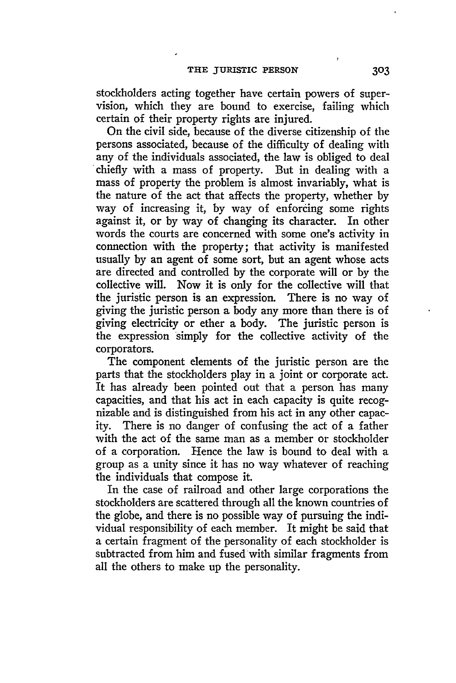stockholders acting together have certain powers of supervision, which they are bound to exercise, failing which certain of their property rights are injured.

On the civil side, because of the diverse citizenship of the persons associated, because of the difficulty of dealing with any of the individuals associated, the law is obliged to deal chiefly with a mass of property. But in dealing with a mass of property the problem is almost invariably, what is the nature of the act that affects the property, whether by way of increasing it, by way of enforcing some rights against it, or by way of changing its character. In other words the courts are concerned with some one's activity in connection with the property; that activity is manifested usually by an agent of some sort, but an agent whose acts are directed and controlled by the corporate will or by the collective will. Now it is only for the collective will that the juristic person is an expression. There is no way of giving the juristic person a body any more than there is of giving electricity or ether a body. The juristic person is the expression simply for the collective activity of the corporators.

The component elements of the juristic person are the parts that the stockholders play in a joint or corporate act. It has already been pointed out that a person has many capacities, and that his act in each capacity is quite recognizable and is distinguished from his act in any other capacity. There is no danger of confusing the act of a father with the act of the same man as a member or stockholder of a corporation. Hence the law is bound to deal with a group as a unity since it has no way whatever of reaching the individuals that compose it.

In the case of railroad and other large corporations the stockholders are scattered through all the known countries of the globe, and there is no possible way of pursuing the individual responsibility of each member. It might be said that a certain fragment of the personality of each stockholder is subtracted from him and fused with similar fragments from all the others to make up the personality.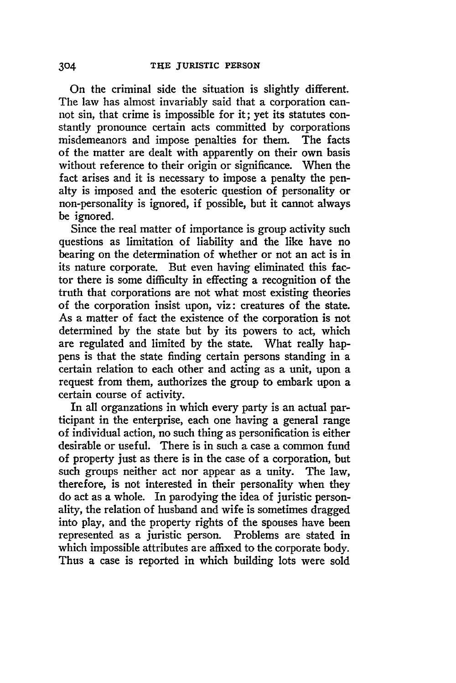On the criminal side the situation is slightly different. The law has almost invariably said that a corporation cannot sin, that crime is impossible for it; yet its statutes constantly pronounce certain acts committed by corporations misdemeanors and impose penalties for them. The facts of the matter are dealt with apparently on their own basis without reference to their origin or significance. When the fact arises and it is necessary to impose a penalty the penalty is imposed and the esoteric question of personality or non-personality is ignored, if possible, but it cannot always be ignored.

Since the real matter of importance is group activity such questions as limitation of liability and the like have no bearing on the determination of whether or not an act is in its nature corporate. But even having eliminated this factor there is some difficulty in effecting a recognition of the truth that corporations are not what most existing theories of the corporation insist upon, viz: creatures of the state. As a matter of fact the existence of the corporation is not determined by the state but by its powers to act, which are regulated and limited by the state. What really happens is that the state finding certain persons standing in a certain relation to each other and acting as a unit, upon a request from them, authorizes the group to embark upon a certain course of activity.

In all organzations in which every party is an actual participant in the enterprise, each one having a general range of individual action, no such thing as personification is either desirable or useful. There is in such a case a common fund of property just as there is in the case of a corporation, but such groups neither act nor appear as a unity. The law, therefore, is not interested in their personality when they do act as a whole. In parodying the idea of juristic personality, the relation of husband and wife is sometimes dragged into play, and the property rights of the spouses have been represented as a juristic person. Problems are stated in which impossible attributes are affixed to the corporate body. Thus a case is reported in which building lots were sold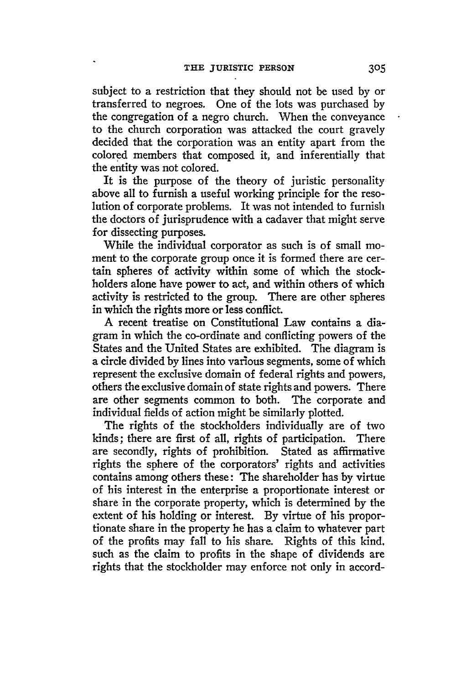subject to a restriction that they should not be used by or transferred to negroes. One of the lots was purchased by the congregation of a negro church. When the conveyance to the church corporation was attacked the court gravely decided that the corporation was an entity apart from the colored members that composed it, and inferentially that the entity was not colored.

It is the purpose of the theory of juristic personality above all to furnish a useful working principle for the resolution of corporate problems. It was not intended to furnish the doctors of jurisprudence with a cadaver that might serve for dissecting purposes.

While the individual corporator as such is of small moment to the corporate group once it is formed there are certain spheres of activity within some of which the stockholders alone have power to act, and within others of which activity is restricted to the group. There are other spheres in which the rights more or less conflict.

A recent treatise on Constitutional Law contains a diagram in which the co-ordinate and conflicting powers of the States and the United States are exhibited. The diagram is a circle divided by lines into various segments, some of which represent the exclusive domain of federal rights and powers, others the exclusive domain of state rights and powers. There are other segments common to both. The corporate and individual fields of action might be similarly plotted.

The rights of the stockholders individually are of two kinds; there are first of all, rights of participation. There are secondly, rights of prohibition. Stated as affirmative rights the sphere of the corporators' rights and activities contains among others these: The shareholder has **by** virtue of his interest in the enterprise a proportionate interest or share in the corporate property, which is determined **by** the extent of his holding or interest. **By** virtue of his proportionate share in the property he has a claim to whatever part of the profits may fall to his share. Rights of this kind, such as the claim to profits in the shape of dividends are rights that the stockholder may enforce not only in accord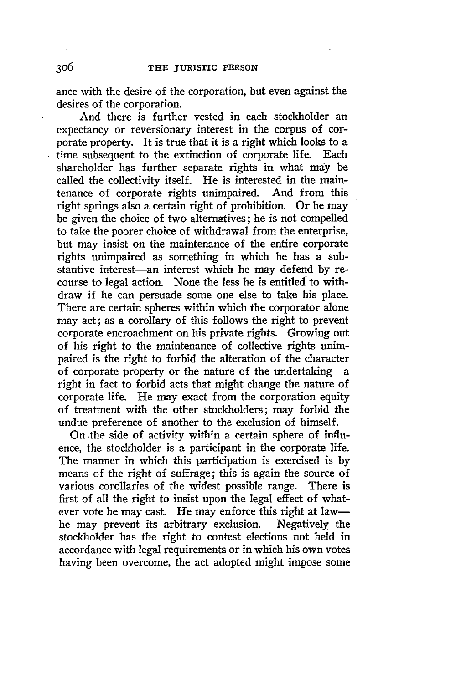ance with the desire of the corporation, but even against the desires of the corporation.

And there is further vested in each stockholder an expectancy or reversionary interest in the corpus of corporate property. It is true that it is a right which looks to a time subsequent to the extinction of corporate life. Each shareholder has further separate rights in what may be called the collectivity itself. He is interested in the maintenance of corporate rights unimpaired. And from this right springs also a certain right of prohibition. Or he may be given the choice of two alternatives; he is not compelled to take the poorer choice of withdrawal from the enterprise, but may insist on the maintenance of the entire corporate rights unimpaired as something in which he has a substantive interest—an interest which he may defend by recourse to legal action. None the less he is entitled to withdraw if he can persuade some one else to take his place. There are certain spheres within which the corporator alone may act; as a corollary of this follows the right to prevent corporate encroachment on his private rights. Growing out of his right to the maintenance of collective rights unimpaired is the right to forbid the alteration of the character of corporate property or the nature of the undertaking-a right in fact to forbid acts that might change the nature of corporate life. He may exact from the corporation equity of treatment with the other stockholders; may forbid the undue preference of another to the exclusion of himself.

On the side of activity within a certain sphere of influence, the stockholder is a participant in the corporate life. The manner in which this participation is exercised is by means of the right of suffrage; this is again the source of various corollaries of the widest possible range. There is first of all the right to insist upon the legal effect of whatever vote he may cast. He may enforce this right at law he may prevent its arbitrary exclusion. Negatively the stockholder has the right to contest elections not held in accordance with legal requirements or in which his own votes having been overcome, the act adopted might impose some

306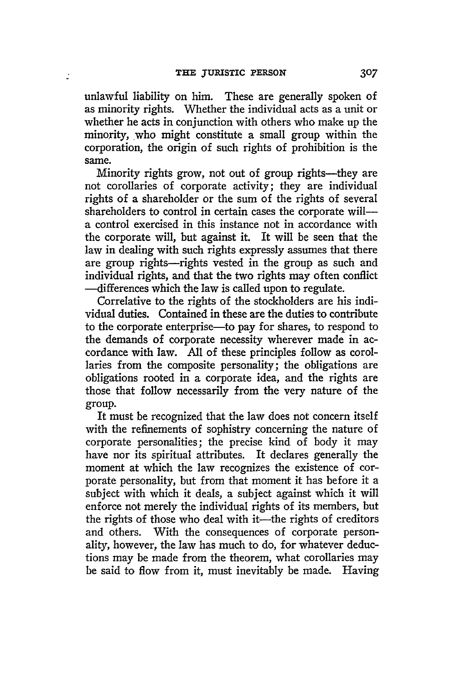Ċ,

unlawful liability on him. These are generally spoken of as minority rights. Whether the individual acts as a unit or whether he acts in conjunction with others who make up the minority, who might constitute a small group within the corporation, the origin of such rights of prohibition is the same.

Minority rights grow, not out of group rights-they are not corollaries of corporate activity; they are individual rights of a shareholder or the sum of the rights of several shareholders to control in certain cases the corporate willa control exercised in this instance not in accordance with the corporate will, but against it. It will be seen that the law in dealing with such rights expressly assumes that there are group rights-rights vested in the group as such and individual rights, and that the two rights may often conflict -differences which the law is called upon to regulate.

Correlative to the rights of the stockholders are his individual duties. Contained in these are the duties to contribute to the corporate enterprise-to pay for shares, to respond to the demands of corporate necessity wherever made in accordance with law. All of these principles follow as corollaries from the composite personality; the obligations are obligations rooted in a corporate idea, and the rights are those that follow necessarily from the very nature of the group.

It must be recognized that the law does not concern itself with the refinements of sophistry concerning the nature of corporate personalities; the precise kind of body it may have nor its spiritual attributes. It declares generally the moment at which the law recognizes the existence of corporate personality, but from that moment it has before it a subject with which it deals, a subject against which it will enforce not merely the individual rights of its members, but the rights of those who deal with it—the rights of creditors and others. With the consequences of corporate personality, however, the law has much to do, for whatever deductions may be made from the theorem, what corollaries may be said to flow from it, must inevitably be made. Having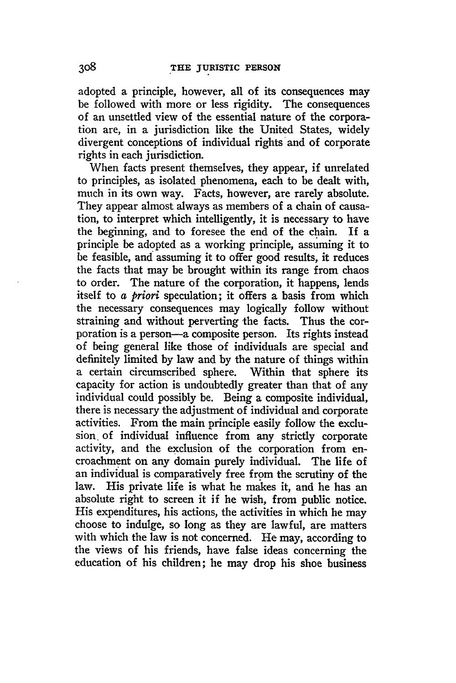adopted a principle, however, all of its consequences may be followed with more or less rigidity. The consequences of an unsettled view of the essential nature of the corporation are, in a jurisdiction like the United States, widely divergent conceptions of individual rights'and of corporate rights in each jurisdiction.

When facts present themselves, they appear, if unrelated to principles, as isolated phenomena, each to be dealt with, much in its own way. Facts, however, are rarely absolute. They appear almost always as members of a chain of causation, to interpret which intelligently, it is necessary to have the beginning, and to foresee the end of the chain. If a principle be adopted as a working principle, assuming it to be feasible, and assuming it to offer good results, it reduces the facts that may be brought within its range from chaos to order. The nature of the corporation, it happens, lends itself to a *priori* speculation; it offers a basis from which the necessary consequences may logically follow without straining and without perverting the facts. Thus the corporation is a person-a composite person. Its rights instead of being general like those of individuals are special and definitely limited **by** law and by the nature of things within a certain circumscribed sphere. Within that sphere its capacity for action is undoubtedly greater than that of any individual could possibly be. Being a composite individual, there is necessary the adjustment of individual and corporate activities. From the main principle easily follow the exclusion of individual influence from any strictly corporate activity, and the exclusion of the corporation from encroachment on any domain purely individual. The life of an individual is comparatively free from the scrutiny of the law. His private life is what he makes it, and he has an absolute right to screen it if he wish, from public notice. His expenditures, his actions, the activities in which he may choose to indulge, so long as they are lawful, are matters with which the law is not concerned. He may, according to the views of his friends, have false ideas concerning the education of his children; he may drop his shoe business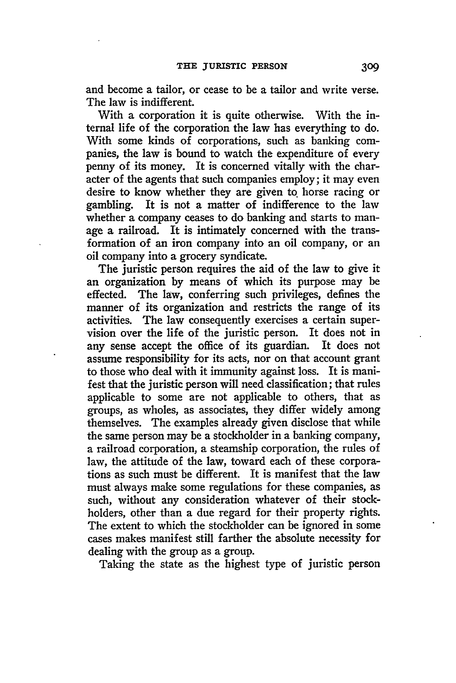and become a tailor, or cease to be a tailor and write verse. The law is indifferent.

With a corporation it is quite otherwise. With the internal life of the corporation the law has everything to do. With some kinds of corporations, such as banking companies, the law is bound to watch the expenditure of every penny of its money. It is concerned vitally with the character of the agents that such companies employ; it may even desire to know whether they are given to horse racing or gambling. It is not a matter of indifference to the law whether a company ceases to do banking and starts to manage a railroad. It is intimately concerned with the transformation of an iron company into an oil company, or an oil company into a grocery syndicate.

The juristic person requires the aid of the law to give it an organization by means of which its purpose may be effected. The law, conferring such privileges, defines the manner of its organization and restricts the range of its activities. The law consequently exercises a certain supervision over the life of the juristic person. It does not in any sense accept the office of its guardian. It does not assume responsibility for its acts, nor on that account grant to those who deal with it immunity against loss. It is manifest that the juristic person will need classification; that rules applicable to some are not applicable to others, that as groups, as wholes, as associates, they differ widely among themselves. The examples already given disclose that while the same person may be a stockholder in a banking company, a railroad corporation, a steamship corporation, the rules of law, the attitude of the law, toward each of these corporations as such must be different. It is manifest that the law must always make some regulations for these companies, as such, without any consideration whatever of their stockholders, other than a due regard for their property rights. The extent to which the stockholder can be ignored in some cases makes manifest still farther the absolute necessity for dealing with the group as a group.

Taking the state as the highest type of juristic person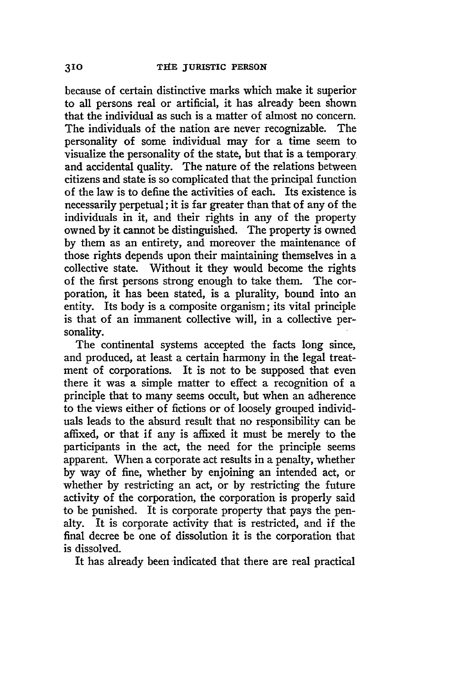because of certain distinctive marks which make it superior to all persons real or artificial, it has already been shown that the individual as such is a matter of almost no concern. The individuals of the nation are never recognizable. The personality of some individual may for a time seem to visualize the personality of the state, but that is a temporary and accidental quality. The nature of the relations between citizens and state is so complicated that the principal function of the law is to define the activities of each. Its existence is necessarily perpetual; it is far greater than that of any of the individuals in it, and their rights in any of the property owned by it cannot be distinguished. The property is owned by them as an entirety, and moreover the maintenance of those rights depends upon their maintaining themselves in a collective state. Without it they would become the rights of the first persons strong enough to take them. The corporation, it has been stated, is a plurality, bound into an entity. Its body is a composite organism; its vital principle is that of an immanent collective will, in a collective personality.

The continental systems accepted the facts long since, and produced, at least a certain harmony in the legal treatment of corporations. It is not to be supposed that even there it was a simple matter to effect a recognition of a principle that to many seems occult, but when an adherence to the views either of fictions or of loosely grouped individuals leads to the absurd result that no responsibility can be affixed, or that if any is affixed it must be merely to the participants in the act, the need for the principle seems apparent. When a corporate act results in a penalty, whether by way of fine, whether by enjoining an intended act, or whether by restricting an act, or by restricting the future activity of the corporation, the corporation is properly said to be punished. It is corporate property that pays the penalty. It is corporate activity that is restricted, and if the final decree be one of dissolution it is the corporation that is dissolved.

It has already been indicated that there are real practical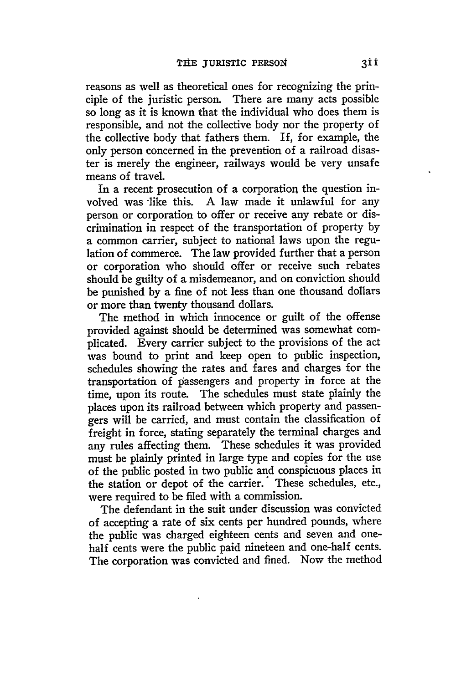reasons as well as theoretical ones for recognizing the principle of the juristic person. There are many acts possible so long as it is known that the individual who does them is responsible, and not the collective body nor the property of the collective body that fathers them. If, for example, the only person concerned in the prevention of a railroad disaster is merely the engineer, railways would be very unsafe means of travel.

In a recent prosecution of a corporation the question involved was like this. A law made it unlawful for any person or corporation to offer or receive any rebate or discrimination in respect of the transportation of property by a common carrier, subject to national laws upon the regulation of commerce. The law provided further that a person or corporation who should offer or receive such rebates should be guilty of a misdemeanor, and on conviction should be punished by a fine of not less than one thousand dollars or more than twenty thousand dollars.

The method in which innocence or guilt of the offense provided against should be determined was somewhat complicated. Every carrier subject to the provisions of the act was bound to print and keep open to public inspection, schedules showing the rates and fares and charges for the transportation of passengers and property in force at the time, upon its route. The schedules must state plainly the places upon its railroad between which property and passengers will be carried, and must contain the classification of freight in force, stating separately the terminal charges and any rules affecting them. These schedules it was provided must be plainly printed in large type and copies for the use of the public posted in two public and conspicuous places in the station or depot of the carrier. These schedules, etc., were required to be filed with a commission.

The defendant in the suit under discussion was convicted of accepting a rate of six cents per hundred pounds, where the public was charged eighteen cents and seven and onehalf cents were the public paid nineteen and one-half cents. The corporation was convicted and fined. Now the method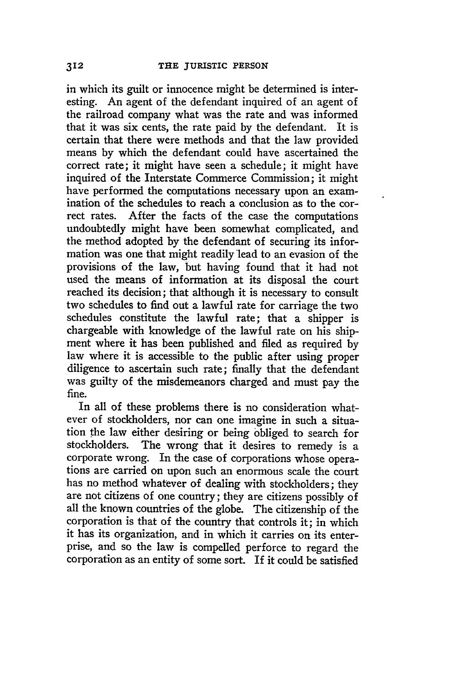in which its guilt or innocence might be determined is interesting. An agent of the defendant inquired of an agent of the railroad company what was the rate and was informed that it was six cents, the rate paid **by** the defendant. It is certain that there were methods and that the law provided means **by** which the defendant could have ascertained the correct rate; it might have seen a schedule; it might have inquired of the Interstate Commerce Commission; it might have performed the computations necessary upon an examination of the schedules to reach a conclusion as to the correct rates. After the facts of the case the computations undoubtedly might have been somewhat complicated, and the method adopted **by** the defendant of securing its information was one that might readily lead to an evasion of the provisions of the law, but having found that it had not used the means of information at its disposal the court reached its decision; that although it is necessary to consult two schedules to find out a lawful rate for carriage the two schedules constitute the lawful rate; that a shipper is chargeable with knowledge of the lawful rate on his shipment where it has been published and filed as required **by** law where it is accessible to the public after using proper diligence to ascertain such rate; finally that the defendant was guilty of the misdemeanors charged and must pay the fine.

In all of these problems there is no consideration whatever of stockholders, nor can one imagine in such a situation the law either desiring or being obliged to search for stockholders. The wrong that it desires to remedy is a corporate wrong. In the case of corporations whose operations are carried on upon such an enormous scale the court has no method whatever of dealing with stockholders; they are not citizens of one country; they are citizens possibly of all the known countries of the globe. The citizenship of the corporation is that of the country that controls it; in which it has its organization, and in which it carries on its enterprise, and so the law is compelled perforce to regard the corporation as an entity of some sort. If it could be satisfied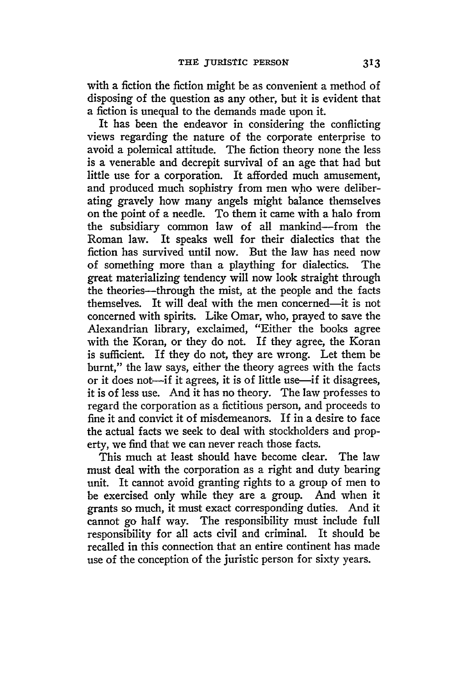with a fiction the fiction might be as convenient a method of disposing of the question as any other, but it is evident that a fiction is unequal to the demands made upon it.

It has been the endeavor in considering the conflicting views regarding the nature of the corporate enterprise to avoid a polemical attitude. The fiction theory none the less is a venerable and decrepit survival of an age that had but little use for a corporation. It afforded much amusement, and produced much sophistry from men who were deliberating gravely how many angels might balance themselves on the point of a needle. To them it came with a halo from the subsidiary common law of all mankind-from the Roman law. It speaks well for their dialectics that the fiction has survived until now. But the law has need now of something more than a plaything for dialectics. The great materializing tendency will now look straight through the theories-through the mist, at the people and the facts themselves. It will deal with the men concerned-it is not concerned with spirits. Like Omar, who, prayed to save the Alexandrian library, exclaimed, "Either the books agree with the Koran, or they do not. If they agree, the Koran is sufficient. If they do not, they are wrong. Let them be burnt," the law says, either the theory agrees with the facts or it does not—if it agrees, it is of little use—if it disagrees, it is of less use. And it has no theory. The law professes to regard the corporation as a fictitious person, and proceeds to fine it and convict it of misdemeanors. If in a desire to face the actual facts we seek to deal with stockholders and property, we find that we can never reach those facts.

This much at least should have become clear. The law must deal with the corporation as a right and duty bearing unit. It cannot avoid granting rights to a group of men to be exercised only while they are a group. And when it grants so much, it must exact corresponding duties. And it cannot go half way. The responsibility must include full responsibility for all acts civil and criminal. It should be recalled in this connection that an entire continent has made use of the conception of the juristic person for sixty years.